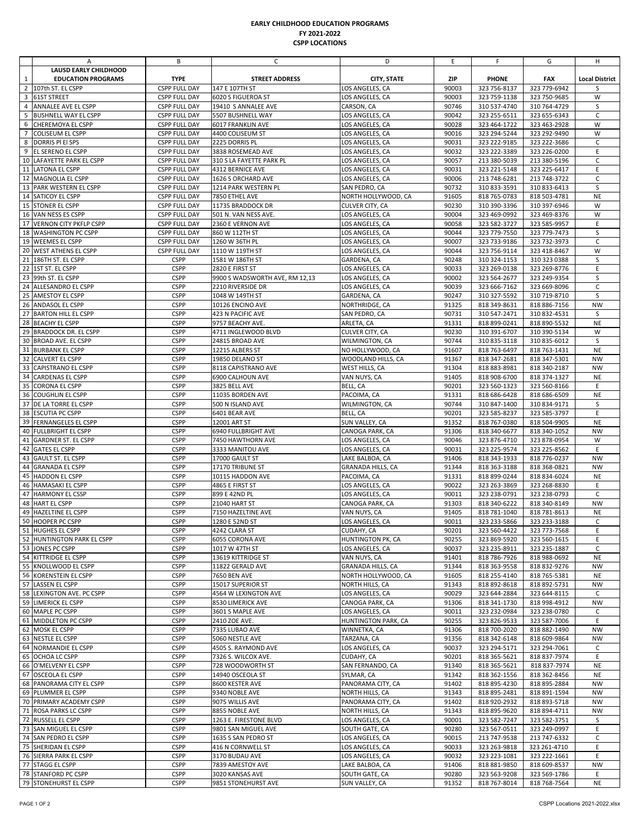## **EARLY CHILDHOOD EDUCATION PROGRAMS FY 2021‐2022 CSPP LOCATIONS**

|    | Α                                         | В                                            | C                                             | D                                  | E.             | F                            | G                            | H                     |
|----|-------------------------------------------|----------------------------------------------|-----------------------------------------------|------------------------------------|----------------|------------------------------|------------------------------|-----------------------|
|    | LAUSD EARLY CHILDHOOD                     |                                              |                                               |                                    |                |                              |                              |                       |
| 1  | <b>EDUCATION PROGRAMS</b>                 | <b>TYPE</b>                                  | <b>STREET ADDRESS</b>                         | <b>CITY, STATE</b>                 | <b>ZIP</b>     | <b>PHONE</b>                 | <b>FAX</b>                   | <b>Local District</b> |
|    | 2 107th ST. EL CSPP                       | <b>CSPP FULL DAY</b>                         | 147 E 107TH ST                                | LOS ANGELES, CA                    | 90003          | 323 756-8137                 | 323 779-6942                 | S                     |
|    | 3 61ST STREET                             | <b>CSPP FULL DAY</b>                         | 6020 S FIGUEROA ST                            | LOS ANGELES, CA                    | 90003          | 323 759-1138                 | 323 750-9685                 | W                     |
| 4  | ANNALEE AVE EL CSPP                       | <b>CSPP FULL DAY</b>                         | 19410 S ANNALEE AVE                           | CARSON, CA                         | 90746          | 310 537-4740                 | 310 764-4729                 | S                     |
| 5  | <b>BUSHNELL WAY EL CSPP</b>               | <b>CSPP FULL DAY</b>                         | 5507 BUSHNELL WAY                             | LOS ANGELES, CA                    | 90042          | 323 255-6511                 | 323 655-6343                 | $\mathsf C$           |
| 6  | CHEREMOYA EL CSPP                         | <b>CSPP FULL DAY</b>                         | 6017 FRANKLIN AVE                             | LOS ANGELES, CA                    | 90028          | 323 464-1722                 | 323 463-2928                 | W                     |
|    | 7 COLISEUM EL CSPP                        | <b>CSPP FULL DAY</b>                         | 4400 COLISEUM ST                              | LOS ANGELES, CA                    | 90016          | 323 294-5244                 | 323 292-9490                 | W<br>$\mathsf{C}$     |
|    | 8 DORRIS PI EI SPS<br>9 EL SERENO EL CSPP | <b>CSPP FULL DAY</b>                         | 2225 DORRIS PL                                | LOS ANGELES, CA                    | 90031<br>90032 | 323 222-9185                 | 323 222-3686                 | E                     |
|    | 10 LAFAYETTE PARK EL CSPP                 | <b>CSPP FULL DAY</b><br><b>CSPP FULL DAY</b> | 3838 ROSEMEAD AVE<br>310 S LA FAYETTE PARK PL | LOS ANGELES, CA<br>LOS ANGELES, CA | 90057          | 323 222-3389<br>213 380-5039 | 323 226-0200<br>213 380-5196 | $\mathsf{C}$          |
|    | 11 LATONA EL CSPP                         | <b>CSPP FULL DAY</b>                         | 4312 BERNICE AVE                              | LOS ANGELES, CA                    | 90031          | 323 221-5148                 | 323 225-6417                 | E                     |
|    | 12 MAGNOLIA EL CSPP                       | <b>CSPP FULL DAY</b>                         | 1626 S ORCHARD AVE                            | LOS ANGELES, CA                    | 90006          | 213 748-6281                 | 213 748-3722                 | $\mathsf C$           |
|    | 13 PARK WESTERN EL CSPP                   | <b>CSPP FULL DAY</b>                         | 1214 PARK WESTERN PL                          | SAN PEDRO, CA                      | 90732          | 310 833-3591                 | 310 833-6413                 | S                     |
|    | 14 SATICOY EL CSPP                        | <b>CSPP FULL DAY</b>                         | 7850 ETHEL AVE                                | NORTH HOLLYWOOD, CA                | 91605          | 818 765-0783                 | 818 503-4781                 | <b>NE</b>             |
|    | 15 STONER EL CSPP                         | <b>CSPP FULL DAY</b>                         | 11735 BRADDOCK DR                             | CULVER CITY, CA                    | 90230          | 310 390-3396                 | 310 397-6946                 | W                     |
|    | 16 VAN NESS ES CSPP                       | <b>CSPP FULL DAY</b>                         | 501 N. VAN NESS AVE.                          | LOS ANGELES, CA                    | 90004          | 323 469-0992                 | 323 469-8376                 | W                     |
|    | 17 VERNON CITY PKFLP CSPP                 | <b>CSPP FULL DAY</b>                         | 2360 E VERNON AVE                             | LOS ANGELES, CA                    | 90058          | 323 582-3727                 | 323 585-9957                 | E                     |
|    | 18 WASHINGTON PC CSPP                     | <b>CSPP FULL DAY</b>                         | 860 W 112TH ST                                | LOS ANGELES, CA                    | 90044          | 323 779-7550                 | 323 779-7473                 | S                     |
|    | 19 WEEMES EL CSPP                         | <b>CSPP FULL DAY</b>                         | 1260 W 36TH PL                                | LOS ANGELES, CA                    | 90007          | 323 733-9186                 | 323 732-3973                 | $\mathsf C$           |
|    | 20 WEST ATHENS EL CSPP                    | <b>CSPP FULL DAY</b>                         | 1110 W 119TH ST                               | LOS ANGELES, CA                    | 90044          | 323 756-9114                 | 323 418-8467                 | W                     |
|    | 21 186TH ST. EL CSPP                      | <b>CSPP</b>                                  | 1581 W 186TH ST                               | GARDENA, CA                        | 90248          | 310 324-1153                 | 310 323 0388                 | S                     |
|    | 22 1ST ST. EL CSPP                        | <b>CSPP</b>                                  | 2820 E FIRST ST                               | LOS ANGELES, CA                    | 90033          | 323 269-0138                 | 323 269-8776                 | E                     |
|    | 23 99th ST. EL CSPP                       | <b>CSPP</b>                                  | 9900 S WADSWORTH AVE, RM 12,13                | LOS ANGELES, CA                    | 90002          | 323 564-2677                 | 323 249-9354                 | S                     |
|    | 24 ALLESANDRO EL CSPP                     | <b>CSPP</b>                                  | 2210 RIVERSIDE DR                             | LOS ANGELES, CA                    | 90039          | 323 666-7162                 | 323 669-8096                 | $\mathsf C$           |
|    | 25 AMESTOY EL CSPP                        | <b>CSPP</b>                                  | 1048 W 149TH ST                               | GARDENA, CA                        | 90247          | 310 327-5592                 | 310 719-8710                 | S                     |
|    | 26 ANDASOL EL CSPP                        | <b>CSPP</b>                                  | 10126 ENCINO AVE                              | NORTHRIDGE, CA                     | 91325          | 818 349-8631                 | 818 886-7156                 | <b>NW</b>             |
|    | 27 BARTON HILL EL CSPP                    | <b>CSPP</b>                                  | 423 N PACIFIC AVE                             | SAN PEDRO, CA                      | 90731          | 310 547-2471                 | 310 832-4531                 | S                     |
|    | 28 BEACHY EL CSPP                         | <b>CSPP</b>                                  | 9757 BEACHY AVE.                              | ARLETA, CA                         | 91331          | 818 899-0241                 | 818 890-5532                 | NE                    |
|    | 29 BRADDOCK DR. EL CSPP                   | <b>CSPP</b>                                  | 4711 INGLEWOOD BLVD                           | CULVER CITY, CA                    | 90230          | 310 391-6707                 | 310 390-5134                 | W                     |
|    | 30 BROAD AVE. EL CSPP                     | <b>CSPP</b>                                  | 24815 BROAD AVE                               | WILMINGTON, CA                     | 90744          | 310 835-3118                 | 310 835-6012                 | S                     |
|    | 31 BURBANK EL CSPP                        | <b>CSPP</b>                                  | 12215 ALBERS ST                               | NO HOLLYWOOD, CA                   | 91607          | 818 763-6497                 | 818 763-1431                 | <b>NE</b>             |
|    | 32 CALVERT EL CSPP                        | <b>CSPP</b>                                  | 19850 DELANO ST                               | WOODLAND HILLS, CA                 | 91367          | 818 347-2681                 | 818 347-5301                 | <b>NW</b>             |
|    | 33 CAPISTRANO EL CSPP                     | <b>CSPP</b>                                  | 8118 CAPISTRANO AVE                           | WEST HILLS, CA                     | 91304          | 818 883-8981                 | 818 340-2187                 | <b>NW</b>             |
|    | 34 CARDENAS EL CSPP                       | <b>CSPP</b>                                  | 6900 CALHOUN AVE                              | VAN NUYS, CA                       | 91405          | 818 908-6700                 | 818 374-1327                 | <b>NE</b>             |
|    | 35 CORONA EL CSPP                         | <b>CSPP</b>                                  | 3825 BELL AVE                                 | BELL, CA                           | 90201          | 323 560-1323                 | 323 560-8166                 | E                     |
|    | 36 COUGHLIN EL CSPP                       | <b>CSPP</b>                                  | 11035 BORDEN AVE                              | PACOIMA, CA                        | 91331          | 818 686-6428                 | 818 686-6509                 | NE                    |
|    | 37 DE LA TORRE EL CSPP                    | <b>CSPP</b>                                  | 500 N ISLAND AVE                              | WILMINGTON, CA                     | 90744          | 310 847-1400                 | 310 834-9171                 | S                     |
| 38 | <b>ESCUTIA PC CSPP</b>                    | <b>CSPP</b>                                  | 6401 BEAR AVE                                 | BELL, CA                           | 90201          | 323 585-8237                 | 323 585-3797                 | E                     |
|    | 39 FERNANGELES EL CSPP                    | <b>CSPP</b>                                  | 12001 ART ST                                  | SUN VALLEY, CA                     | 91352          | 818 767-0380                 | 818 504-9905                 | <b>NE</b>             |
| 40 | <b>FULLBRIGHT EL CSPP</b>                 | <b>CSPP</b>                                  | 6940 FULLBRIGHT AVE                           | CANOGA PARK, CA                    | 91306          | 818 340-6677                 | 818 340-1052                 | <b>NW</b>             |
|    | 41 GARDNER ST. EL CSPP                    | <b>CSPP</b>                                  | 7450 HAWTHORN AVE                             | LOS ANGELES, CA                    | 90046          | 323 876-4710                 | 323 878-0954                 | W                     |
|    | 42 GATES EL CSPP                          | <b>CSPP</b>                                  | 3333 MANITOU AVE                              | LOS ANGELES, CA                    | 90031          | 323 225-9574                 | 323 225-8562                 | E                     |
|    | 43 GAULT ST. EL CSPP                      | <b>CSPP</b>                                  | 17000 GAULT ST                                | LAKE BALBOA, CA                    | 91406          | 818 343-1933                 | 818 776-0237                 | <b>NW</b>             |
|    | 44 GRANADA EL CSPP                        | <b>CSPP</b>                                  | 17170 TRIBUNE ST                              | <b>GRANADA HILLS, CA</b>           | 91344          | 818 363-3188                 | 818 368-0821                 | <b>NW</b>             |
|    | 45 HADDON EL CSPP                         | <b>CSPP</b>                                  | 10115 HADDON AVE                              | PACOIMA, CA                        | 91331          | 818 899-0244                 | 818 834-6024                 | <b>NE</b>             |
|    | <b>46 HAMASAKI EL CSPP</b>                | <b>CSPP</b>                                  | 4865 E FIRST ST                               | LOS ANGELES, CA                    | 90022          | 323 263-3869                 | 323 268-8830                 | E                     |
|    | 47 HARMONY EL CSSP                        | <b>CSPP</b>                                  | 899 E 42ND PL                                 | LOS ANGELES, CA                    | 90011          | 323 238-0791                 | 323 238-0793                 | $\mathsf{C}$          |
| 48 | <b>HART EL CSPP</b>                       | <b>CSPP</b>                                  | 21040 HART ST                                 | CANOGA PARK, CA                    | 91303          | 818 340-6222                 | 818 340-8149                 | <b>NW</b>             |
|    | 49 HAZELTINE EL CSPP                      | <b>CSPP</b>                                  | 7150 HAZELTINE AVE                            | VAN NUYS, CA                       | 91405          | 818 781-1040                 | 818 781-8613                 | <b>NE</b>             |
|    | 50 HOOPER PC CSPP                         | <b>CSPP</b>                                  | 1280 E 52ND ST                                | LOS ANGELES, CA                    | 90011          | 323 233-5866                 | 323 233-3188                 | $\mathsf{C}$          |
|    | 51 HUGHES EL CSPP                         | <b>CSPP</b>                                  | 4242 CLARA ST                                 | CUDAHY, CA                         | 90201          | 323 560-4422                 | 323 773-7568                 | E.                    |
|    | 52 HUNTINGTON PARK EL CSPP                | <b>CSPP</b>                                  | 6055 CORONA AVE                               | HUNTINGTON PK, CA                  | 90255          | 323 869-5920                 | 323 560-1615                 | E                     |
|    | 53 JONES PC CSPP                          | <b>CSPP</b>                                  | 1017 W 47TH ST                                | LOS ANGELES, CA                    | 90037          | 323 235-8911                 | 323 235-1887                 | C                     |
|    | 54 KITTRIDGE EL CSPP                      | <b>CSPP</b>                                  | 13619 KITTRIDGE ST                            | VAN NUYS, CA                       | 91401          | 818 786-7926                 | 818 988-0692                 | NE                    |
|    | 55 KNOLLWOOD EL CSPP                      | <b>CSPP</b>                                  | 11822 GERALD AVE                              | GRANADA HILLS, CA                  | 91344          | 818 363-9558                 | 818 832-9276                 | <b>NW</b>             |
|    | 56 KORENSTEIN EL CSPP                     | <b>CSPP</b>                                  | <b>7650 BEN AVE</b>                           | NORTH HOLLYWOOD, CA                | 91605          | 818 255-4140                 | 818 765-5381                 | NE                    |
|    | 57 LASSEN EL CSPP                         | <b>CSPP</b>                                  | 15017 SUPERIOR ST                             | NORTH HILLS, CA                    | 91343          | 818 892-8618                 | 818 892-5731                 | <b>NW</b>             |
|    | 58 LEXINGTON AVE. PC CSPP                 | <b>CSPP</b>                                  | 4564 W LEXINGTON AVE                          | LOS ANGELES, CA                    | 90029          | 323 644-2884                 | 323 644-8115                 | C                     |
|    | 59 LIMERICK EL CSPP                       | <b>CSPP</b>                                  | 8530 LIMERICK AVE                             | CANOGA PARK, CA                    | 91306          | 818 341-1730                 | 818 998-4912                 | NW                    |
|    | 60 MAPLE PC CSPP                          | <b>CSPP</b>                                  | 3601 S MAPLE AVE                              | LOS ANGELES, CA                    | 90011          | 323 232-0984                 | 323 238-0780                 | C                     |
|    | 61 MIDDLETON PC CSPP                      | <b>CSPP</b>                                  | 2410 ZOE AVE.                                 | HUNTINGTON PARK, CA                | 90255          | 323 826-9533                 | 323 587-7006                 | E.                    |
|    | 62 MOSK EL CSPP                           | <b>CSPP</b>                                  | 7335 LUBAO AVE                                | WINNETKA, CA                       | 91306          | 818 700-2020                 | 818 882-1490                 | <b>NW</b>             |
|    | 63 NESTLE EL CSPP                         | <b>CSPP</b>                                  | 5060 NESTLE AVE                               | TARZANA, CA                        | 91356          | 818 342-6148                 | 818 609-9864                 | <b>NW</b>             |
|    | 64 NORMANDIE EL CSPP                      | <b>CSPP</b>                                  | 4505 S. RAYMOND AVE                           | LOS ANGELES, CA                    | 90037          | 323 294-5171                 | 323 294-7061                 | C                     |
|    | 65 OCHOA LC CSPP                          | <b>CSPP</b>                                  | 7326 S. WILCOX AVE.                           | CUDAHY, CA                         | 90201          | 818 365-5621                 | 818 837-7974                 | E                     |
|    | 66 O'MELVENY EL CSPP                      | <b>CSPP</b>                                  | 728 WOODWORTH ST                              | SAN FERNANDO, CA                   | 91340          | 818 365-5621                 | 818 837-7974                 | NE                    |
|    | 67 OSCEOLA EL CSPP                        | <b>CSPP</b>                                  | 14940 OSCEOLA ST                              | SYLMAR, CA                         | 91342          | 818 362-1556                 | 818 362-8456                 | NE                    |
|    | 68 PANORAMA CITY EL CSPP                  | <b>CSPP</b>                                  | 8600 KESTER AVE                               | PANORAMA CITY, CA                  | 91402          | 818 895-4230                 | 818 895-2884                 | <b>NW</b>             |
|    | 69 PLUMMER EL CSPP                        | <b>CSPP</b>                                  | 9340 NOBLE AVE                                | NORTH HILLS, CA                    | 91343          | 818 895-2481                 | 818 891-1594                 | <b>NW</b>             |
|    | 70 PRIMARY ACADEMY CSPP                   | <b>CSPP</b>                                  | 9075 WILLIS AVE                               | PANORAMA CITY, CA                  | 91402          | 818 920-2932                 | 818 893-5718                 | <b>NW</b>             |
|    | 71 ROSA PARKS LC CSPP                     | <b>CSPP</b>                                  | 8855 NOBLE AVE                                | NORTH HILLS, CA                    | 91343          | 818 895-9620                 | 818 894-4711                 | <b>NW</b>             |
|    | 72 RUSSELL EL CSPP                        | <b>CSPP</b>                                  | 1263 E. FIRESTONE BLVD                        | LOS ANGELES, CA                    | 90001          | 323 582-7247                 | 323 582-3751                 | S                     |
|    | 73 SAN MIGUEL EL CSPP                     | <b>CSPP</b>                                  | 9801 SAN MIGUEL AVE                           | SOUTH GATE, CA                     | 90280          | 323 567-0511                 | 323 249-0997                 | E                     |
|    | 74 SAN PEDRO EL CSPP                      | <b>CSPP</b>                                  | 1635 S SAN PEDRO ST                           | LOS ANGELES, CA                    | 90015          | 213 747-9538                 | 213 747-6332                 | C                     |
|    | 75 SHERIDAN EL CSPP                       | <b>CSPP</b>                                  | 416 N CORNWELL ST                             | LOS ANGELES, CA                    | 90033          | 323 263-9818                 | 323 261-4710                 | E.                    |
|    | 76 SIERRA PARK EL CSPP                    | <b>CSPP</b>                                  | 3170 BUDAU AVE                                | LOS ANGELES, CA                    | 90032          | 323 223-1081                 | 323 222-1661                 | E                     |
|    | 77 STAGG EL CSPP                          | <b>CSPP</b>                                  | 7839 AMESTOY AVE                              | LAKE BALBOA, CA                    | 91406          | 818 881-9850                 | 818 609-8537                 | NW                    |
|    | 78 STANFORD PC CSPP                       | <b>CSPP</b>                                  | 3020 KANSAS AVE                               | SOUTH GATE, CA                     | 90280          | 323 563-9208                 | 323 569-1786                 | E.                    |
|    | 79 STONEHURST EL CSPP                     | <b>CSPP</b>                                  | 9851 STONEHURST AVE                           | SUN VALLEY, CA                     | 91352          | 818 767-8014                 | 818 768-7564                 | NE                    |